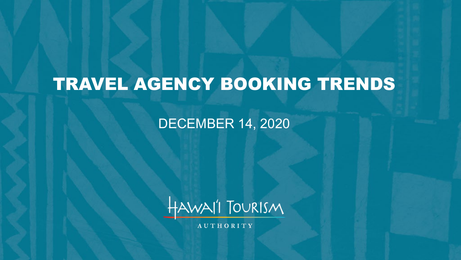# TRAVEL AGENCY BOOKING TRENDS

#### DECEMBER 14, 2020



**AUTHORITY**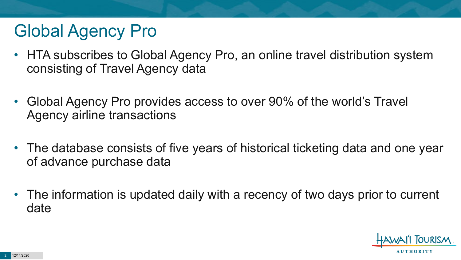## Global Agency Pro

- HTA subscribes to Global Agency Pro, an online travel distribution system consisting of Travel Agency data
- Global Agency Pro provides access to over 90% of the world's Travel Agency airline transactions
- The database consists of five years of historical ticketing data and one year of advance purchase data
- The information is updated daily with a recency of two days prior to current date

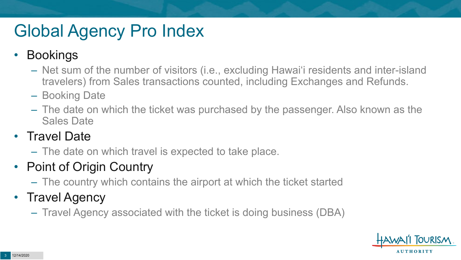## Global Agency Pro Index

#### • Bookings

- Net sum of the number of visitors (i.e., excluding Hawai'i residents and inter-island travelers) from Sales transactions counted, including Exchanges and Refunds.
- Booking Date
- The date on which the ticket was purchased by the passenger. Also known as the Sales Date

#### • Travel Date

– The date on which travel is expected to take place.

#### • Point of Origin Country

– The country which contains the airport at which the ticket started

#### • Travel Agency

– Travel Agency associated with the ticket is doing business (DBA)

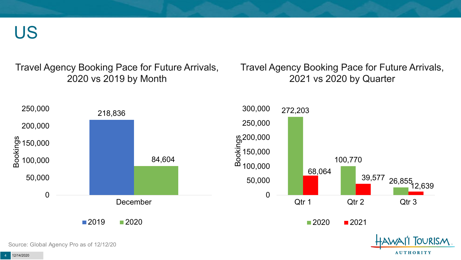US

Travel Agency Booking Pace for Future Arrivals, 2020 vs 2019 by Month

Travel Agency Booking Pace for Future Arrivals, 2021 vs 2020 by Quarter

**AUTHORITY** 



Source: Global Agency Pro as of 12/12/20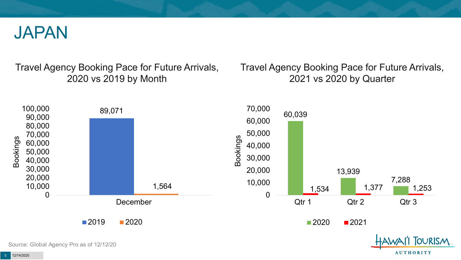

Travel Agency Booking Pace for Future Arrivals, 2020 vs 2019 by Month

Travel Agency Booking Pace for Future Arrivals, 2021 vs 2020 by Quarter



Source: Global Agency Pro as of 12/12/20

**AUTHORITY**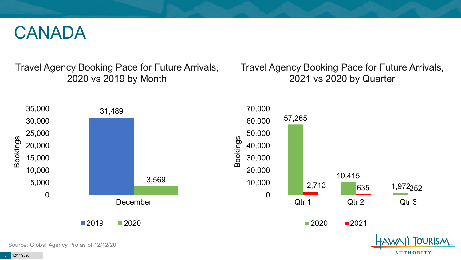#### CANADA

Travel Agency Booking Pace for Future Arrivals, 2020 vs 2019 by Month

Travel Agency Booking Pace for Future Arrivals, 2021 vs 2020 by Quarter

**AUTHORITY** 

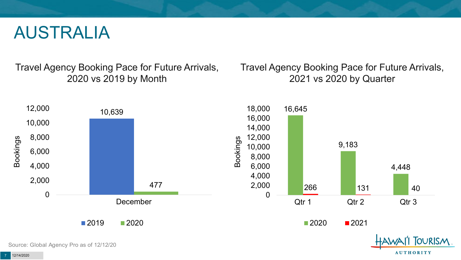#### AUSTRALIA

Travel Agency Booking Pace for Future Arrivals, 2020 vs 2019 by Month

Travel Agency Booking Pace for Future Arrivals, 2021 vs 2020 by Quarter

**AUTHORITY** 

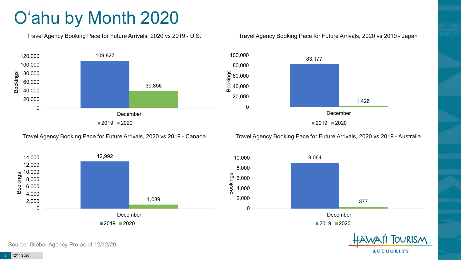## O'ahu by Month 2020

Travel Agency Booking Pace for Future Arrivals, 2020 vs 2019 - U.S.



#### Travel Agency Booking Pace for Future Arrivals, 2020 vs 2019 - Japan



Travel Agency Booking Pace for Future Arrivals, 2020 vs 2019 - Canada

Travel Agency Booking Pace for Future Arrivals, 2020 vs 2019 - Australia

December

■2019 ■2020

377

**TOURISM** 

**AUTHORITY** 

9,064



8 12/14/2020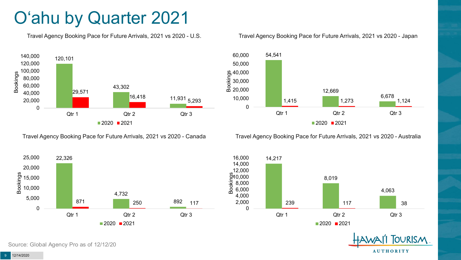### O'ahu by Quarter 2021

Travel Agency Booking Pace for Future Arrivals, 2021 vs 2020 - U.S.



Travel Agency Booking Pace for Future Arrivals, 2021 vs 2020 - Canada





Travel Agency Booking Pace for Future Arrivals, 2021 vs 2020 - Australia





**OURISM AUTHORITY** 

9 12/14/2020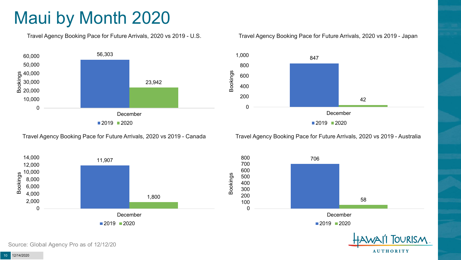### Maui by Month 2020

Travel Agency Booking Pace for Future Arrivals, 2020 vs 2019 - U.S.



Travel Agency Booking Pace for Future Arrivals, 2020 vs 2019 - Canada





Travel Agency Booking Pace for Future Arrivals, 2020 vs 2019 - Australia





**AUTHORITY** 

Source: Global Agency Pro as of 12/12/20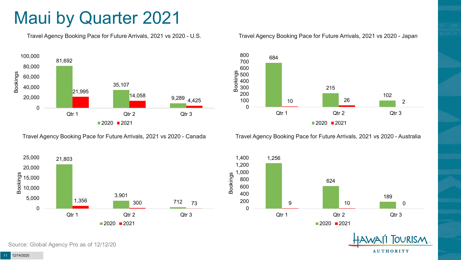#### Maui by Quarter 2021

Travel Agency Booking Pace for Future Arrivals, 2021 vs 2020 - U.S.



Travel Agency Booking Pace for Future Arrivals, 2021 vs 2020 - Canada





Travel Agency Booking Pace for Future Arrivals, 2021 vs 2020 - Australia





**TOURISM AUTHORITY**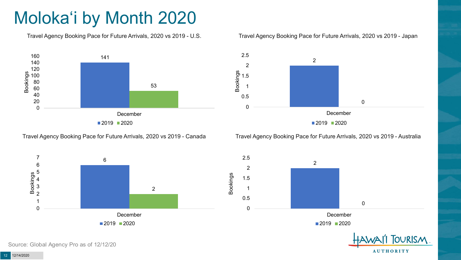## Moloka'i by Month 2020

Travel Agency Booking Pace for Future Arrivals, 2020 vs 2019 - U.S.



Travel Agency Booking Pace for Future Arrivals, 2020 vs 2019 - Canada





Travel Agency Booking Pace for Future Arrivals, 2020 vs 2019 - Australia

December

2



Source: Global Agency Pro as of 12/12/20

 $2019$  2020 **TOURISM** 

**AUTHORITY** 

 $\Omega$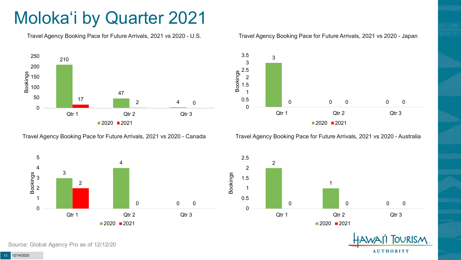## Moloka'i by Quarter 2021

Travel Agency Booking Pace for Future Arrivals, 2021 vs 2020 - U.S.



Travel Agency Booking Pace for Future Arrivals, 2021 vs 2020 - Canada



#### Travel Agency Booking Pace for Future Arrivals, 2021 vs 2020 - Japan



Travel Agency Booking Pace for Future Arrivals, 2021 vs 2020 - Australia





Source: Global Agency Pro as of 12/12/20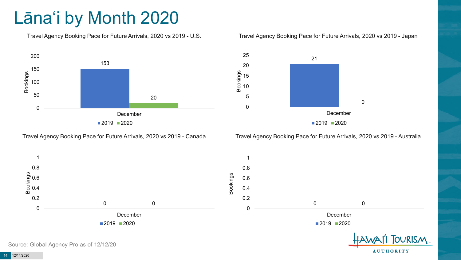## Lāna'i by Month 2020

Travel Agency Booking Pace for Future Arrivals, 2020 vs 2019 - U.S.



Travel Agency Booking Pace for Future Arrivals, 2020 vs 2019 - Canada

#### Travel Agency Booking Pace for Future Arrivals, 2020 vs 2019 - Japan



Travel Agency Booking Pace for Future Arrivals, 2020 vs 2019 - Australia

**AUTHORITY** 



Source: Global Agency Pro as of 12/12/20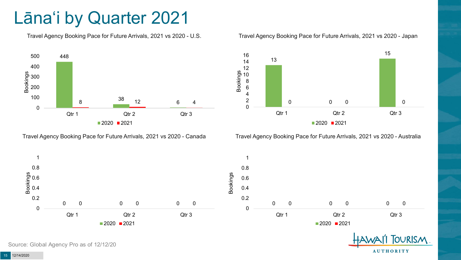#### Lāna'i by Quarter 2021

Travel Agency Booking Pace for Future Arrivals, 2021 vs 2020 - U.S.



Travel Agency Booking Pace for Future Arrivals, 2021 vs 2020 - Canada





Travel Agency Booking Pace for Future Arrivals, 2021 vs 2020 - Australia





Source: Global Agency Pro as of 12/12/20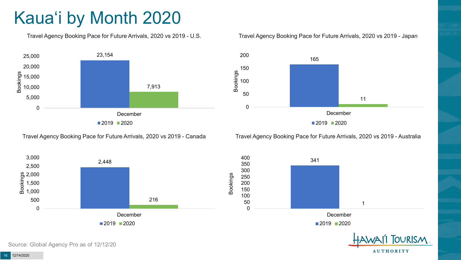## Kaua'i by Month 2020

Travel Agency Booking Pace for Future Arrivals, 2020 vs 2019 - U.S.



Travel Agency Booking Pace for Future Arrivals, 2020 vs 2019 - Japan



Travel Agency Booking Pace for Future Arrivals, 2020 vs 2019 - Canada

Travel Agency Booking Pace for Future Arrivals, 2020 vs 2019 - Australia





**AUTHORITY**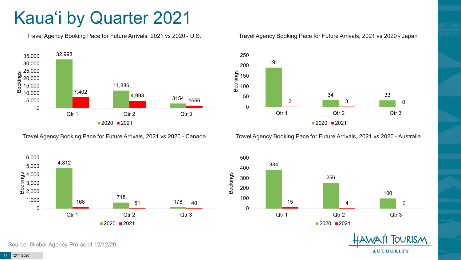## Kaua'i by Quarter 2021

Travel Agency Booking Pace for Future Arrivals, 2021 vs 2020 - U.S.



Travel Agency Booking Pace for Future Arrivals, 2021 vs 2020 - Canada

718

 $2020$  2021

168 51 178 40

Qtr 1 Qtr 2 Qtr 3



#### Travel Agency Booking Pace for Future Arrivals, 2021 vs 2020 - Japan



Travel Agency Booking Pace for Future Arrivals, 2021 vs 2020 - Australia





Source: Global Agency Pro as of 12/12/20

0

1,000 2,000 3,000  $\frac{6}{5}$  4,000<br> $\frac{1}{6}$  3,000<br>0 2,000

5,000 6,000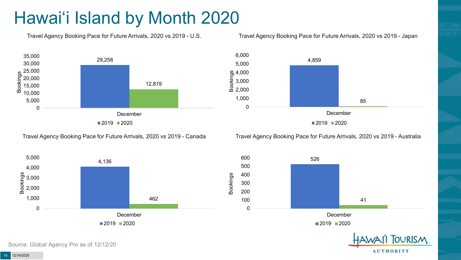## Hawai'i Island by Month 2020

Travel Agency Booking Pace for Future Arrivals, 2020 vs 2019 - U.S.



6,000



4,859 85 0 1,000 2,000 3,000  $\frac{6}{5}$  4,000<br> $\frac{6}{5}$  3,000<br>0 2.000 5,000 December

■2019 2020

Travel Agency Booking Pace for Future Arrivals, 2020 vs 2019 - Canada

Travel Agency Booking Pace for Future Arrivals, 2020 vs 2019 - Australia





**AUTHORITY** 

Source: Global Agency Pro as of 12/12/20